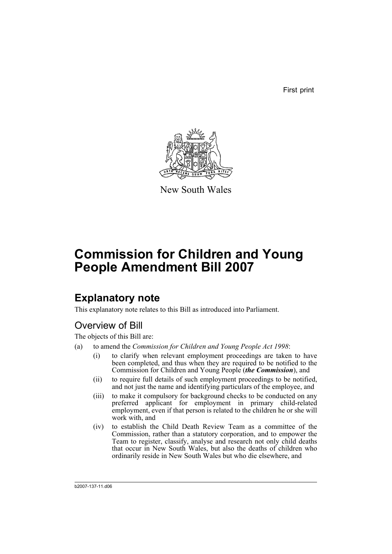First print



New South Wales

# **Commission for Children and Young People Amendment Bill 2007**

## **Explanatory note**

This explanatory note relates to this Bill as introduced into Parliament.

## Overview of Bill

The objects of this Bill are:

- (a) to amend the *Commission for Children and Young People Act 1998*:
	- (i) to clarify when relevant employment proceedings are taken to have been completed, and thus when they are required to be notified to the Commission for Children and Young People (*the Commission*), and
	- (ii) to require full details of such employment proceedings to be notified, and not just the name and identifying particulars of the employee, and
	- (iii) to make it compulsory for background checks to be conducted on any preferred applicant for employment in primary child-related employment, even if that person is related to the children he or she will work with, and
	- (iv) to establish the Child Death Review Team as a committee of the Commission, rather than a statutory corporation, and to empower the Team to register, classify, analyse and research not only child deaths that occur in New South Wales, but also the deaths of children who ordinarily reside in New South Wales but who die elsewhere, and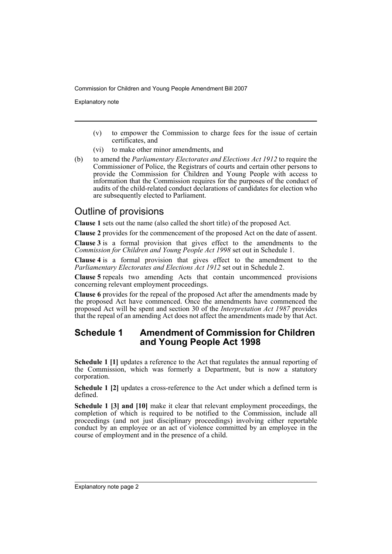Explanatory note

- (v) to empower the Commission to charge fees for the issue of certain certificates, and
- (vi) to make other minor amendments, and
- (b) to amend the *Parliamentary Electorates and Elections Act 1912* to require the Commissioner of Police, the Registrars of courts and certain other persons to provide the Commission for Children and Young People with access to information that the Commission requires for the purposes of the conduct of audits of the child-related conduct declarations of candidates for election who are subsequently elected to Parliament.

## Outline of provisions

**Clause 1** sets out the name (also called the short title) of the proposed Act.

**Clause 2** provides for the commencement of the proposed Act on the date of assent.

**Clause 3** is a formal provision that gives effect to the amendments to the *Commission for Children and Young People Act 1998* set out in Schedule 1.

**Clause 4** is a formal provision that gives effect to the amendment to the *Parliamentary Electorates and Elections Act 1912* set out in Schedule 2.

**Clause 5** repeals two amending Acts that contain uncommenced provisions concerning relevant employment proceedings.

**Clause 6** provides for the repeal of the proposed Act after the amendments made by the proposed Act have commenced. Once the amendments have commenced the proposed Act will be spent and section 30 of the *Interpretation Act 1987* provides that the repeal of an amending Act does not affect the amendments made by that Act.

### **Schedule 1 Amendment of Commission for Children and Young People Act 1998**

**Schedule 1 [1]** updates a reference to the Act that regulates the annual reporting of the Commission, which was formerly a Department, but is now a statutory corporation.

**Schedule 1 [2]** updates a cross-reference to the Act under which a defined term is defined.

**Schedule 1 [3] and [10]** make it clear that relevant employment proceedings, the completion of which is required to be notified to the Commission, include all proceedings (and not just disciplinary proceedings) involving either reportable conduct by an employee or an act of violence committed by an employee in the course of employment and in the presence of a child.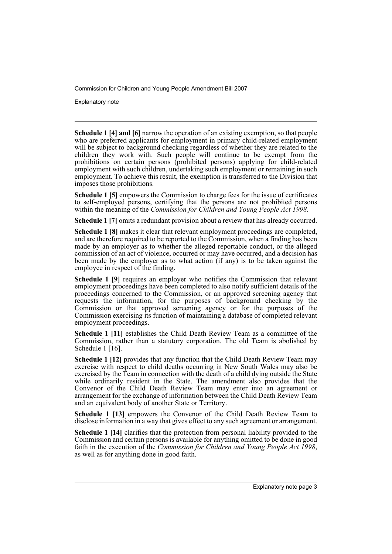Explanatory note

**Schedule 1 [4] and [6]** narrow the operation of an existing exemption, so that people who are preferred applicants for employment in primary child-related employment will be subject to background checking regardless of whether they are related to the children they work with. Such people will continue to be exempt from the prohibitions on certain persons (prohibited persons) applying for child-related employment with such children, undertaking such employment or remaining in such employment. To achieve this result, the exemption is transferred to the Division that imposes those prohibitions.

**Schedule 1 [5]** empowers the Commission to charge fees for the issue of certificates to self-employed persons, certifying that the persons are not prohibited persons within the meaning of the *Commission for Children and Young People Act 1998*.

**Schedule 1 [7]** omits a redundant provision about a review that has already occurred.

**Schedule 1 [8]** makes it clear that relevant employment proceedings are completed, and are therefore required to be reported to the Commission, when a finding has been made by an employer as to whether the alleged reportable conduct, or the alleged commission of an act of violence, occurred or may have occurred, and a decision has been made by the employer as to what action (if any) is to be taken against the employee in respect of the finding.

**Schedule 1 [9]** requires an employer who notifies the Commission that relevant employment proceedings have been completed to also notify sufficient details of the proceedings concerned to the Commission, or an approved screening agency that requests the information, for the purposes of background checking by the Commission or that approved screening agency or for the purposes of the Commission exercising its function of maintaining a database of completed relevant employment proceedings.

**Schedule 1 [11]** establishes the Child Death Review Team as a committee of the Commission, rather than a statutory corporation. The old Team is abolished by Schedule 1 [16].

**Schedule 1 [12]** provides that any function that the Child Death Review Team may exercise with respect to child deaths occurring in New South Wales may also be exercised by the Team in connection with the death of a child dying outside the State while ordinarily resident in the State. The amendment also provides that the Convenor of the Child Death Review Team may enter into an agreement or arrangement for the exchange of information between the Child Death Review Team and an equivalent body of another State or Territory.

**Schedule 1 [13]** empowers the Convenor of the Child Death Review Team to disclose information in a way that gives effect to any such agreement or arrangement.

**Schedule 1 [14]** clarifies that the protection from personal liability provided to the Commission and certain persons is available for anything omitted to be done in good faith in the execution of the *Commission for Children and Young People Act 1998*, as well as for anything done in good faith.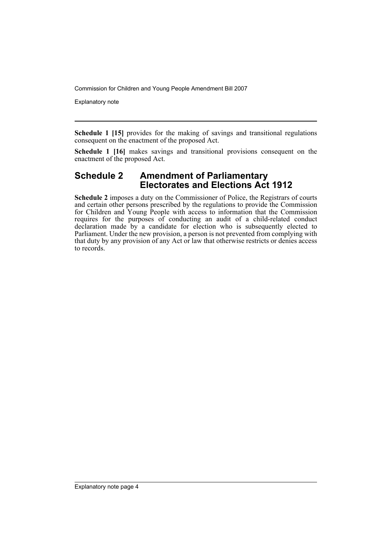Explanatory note

**Schedule 1 [15]** provides for the making of savings and transitional regulations consequent on the enactment of the proposed Act.

**Schedule 1 [16]** makes savings and transitional provisions consequent on the enactment of the proposed Act.

### **Schedule 2 Amendment of Parliamentary Electorates and Elections Act 1912**

**Schedule 2** imposes a duty on the Commissioner of Police, the Registrars of courts and certain other persons prescribed by the regulations to provide the Commission for Children and Young People with access to information that the Commission requires for the purposes of conducting an audit of a child-related conduct declaration made by a candidate for election who is subsequently elected to Parliament. Under the new provision, a person is not prevented from complying with that duty by any provision of any Act or law that otherwise restricts or denies access to records.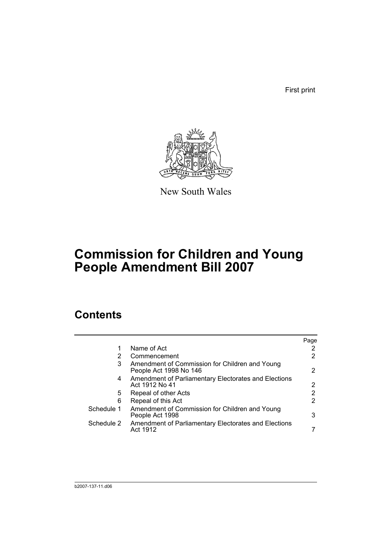First print



New South Wales

# **Commission for Children and Young People Amendment Bill 2007**

## **Contents**

|            |                                                                          | Page |
|------------|--------------------------------------------------------------------------|------|
| 1          | Name of Act                                                              |      |
| 2          | Commencement                                                             |      |
| 3          | Amendment of Commission for Children and Young<br>People Act 1998 No 146 | 2    |
| 4          | Amendment of Parliamentary Electorates and Elections<br>Act 1912 No 41   |      |
| 5          | Repeal of other Acts                                                     | າ    |
| 6          | Repeal of this Act                                                       | 2    |
| Schedule 1 | Amendment of Commission for Children and Young<br>People Act 1998        | 3    |
| Schedule 2 | Amendment of Parliamentary Electorates and Elections<br>Act 1912         |      |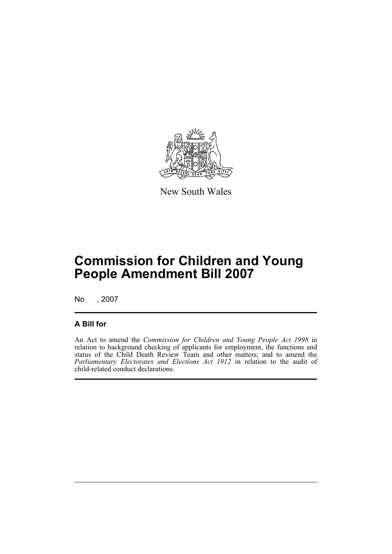

New South Wales

## **Commission for Children and Young People Amendment Bill 2007**

No , 2007

### **A Bill for**

An Act to amend the *Commission for Children and Young People Act 1998* in relation to background checking of applicants for employment, the functions and status of the Child Death Review Team and other matters; and to amend the *Parliamentary Electorates and Elections Act 1912* in relation to the audit of child-related conduct declarations.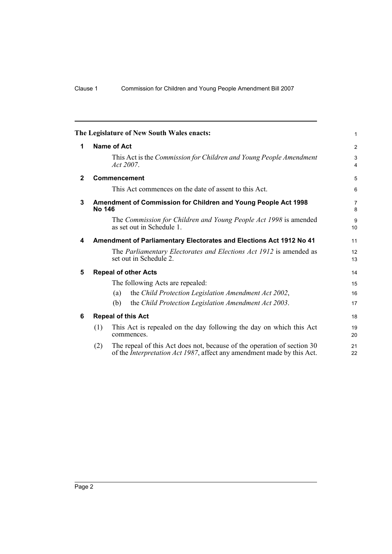<span id="page-7-5"></span><span id="page-7-4"></span><span id="page-7-3"></span><span id="page-7-2"></span><span id="page-7-1"></span><span id="page-7-0"></span>

|              | The Legislature of New South Wales enacts:                                                                                                                       | 1                    |
|--------------|------------------------------------------------------------------------------------------------------------------------------------------------------------------|----------------------|
| 1            | Name of Act                                                                                                                                                      | 2                    |
|              | This Act is the Commission for Children and Young People Amendment<br>Act 2007.                                                                                  | 3<br>$\overline{4}$  |
| $\mathbf{2}$ | <b>Commencement</b>                                                                                                                                              | 5                    |
|              | This Act commences on the date of assent to this Act.                                                                                                            | 6                    |
| 3            | Amendment of Commission for Children and Young People Act 1998<br>No 146                                                                                         | 7<br>8               |
|              | The Commission for Children and Young People Act 1998 is amended<br>as set out in Schedule 1.                                                                    | 9<br>10 <sup>1</sup> |
| 4            | Amendment of Parliamentary Electorates and Elections Act 1912 No 41                                                                                              | 11                   |
|              | The Parliamentary Electorates and Elections Act 1912 is amended as<br>set out in Schedule 2.                                                                     | 12<br>13             |
| 5            | <b>Repeal of other Acts</b>                                                                                                                                      | 14                   |
|              | The following Acts are repealed:                                                                                                                                 | 15                   |
|              | the Child Protection Legislation Amendment Act 2002,<br>(a)                                                                                                      | 16                   |
|              | the Child Protection Legislation Amendment Act 2003.<br>(b)                                                                                                      | 17                   |
| 6            | <b>Repeal of this Act</b>                                                                                                                                        | 18                   |
|              | This Act is repealed on the day following the day on which this Act<br>(1)<br>commences.                                                                         | 19<br>20             |
|              | The repeal of this Act does not, because of the operation of section 30<br>(2)<br>of the <i>Interpretation Act 1987</i> , affect any amendment made by this Act. | 21<br>22             |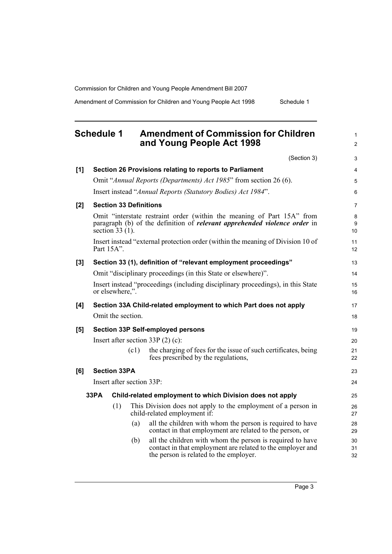Amendment of Commission for Children and Young People Act 1998 Schedule 1

<span id="page-8-0"></span>

| <b>Schedule 1</b> | <b>Amendment of Commission for Children</b> |
|-------------------|---------------------------------------------|
|                   | and Young People Act 1998                   |

(Section 3) **[1] Section 26 Provisions relating to reports to Parliament** Omit "*Annual Reports (Departments) Act 1985*" from section 26 (6). Insert instead "*Annual Reports (Statutory Bodies) Act 1984*". **[2] Section 33 Definitions** Omit "interstate restraint order (within the meaning of Part 15A" from paragraph (b) of the definition of *relevant apprehended violence order* in section 33 (1). Insert instead "external protection order (within the meaning of Division 10 of Part 15A". **[3] Section 33 (1), definition of "relevant employment proceedings"** Omit "disciplinary proceedings (in this State or elsewhere)". Insert instead "proceedings (including disciplinary proceedings), in this State or elsewhere,". **[4] Section 33A Child-related employment to which Part does not apply** Omit the section. **[5] Section 33P Self-employed persons** Insert after section 33P (2) (c): (c1) the charging of fees for the issue of such certificates, being fees prescribed by the regulations, **[6] Section 33PA** Insert after section 33P: **33PA Child-related employment to which Division does not apply** (1) This Division does not apply to the employment of a person in child-related employment if: (a) all the children with whom the person is required to have contact in that employment are related to the person, or (b) all the children with whom the person is required to have contact in that employment are related to the employer and the person is related to the employer. 3 4 5 6 7 8 **9** 10 11 12 13 14 15 16 17 18 19 20 21 22 23 24 25 26 27 28 29 30 31 32

1  $\mathfrak{p}$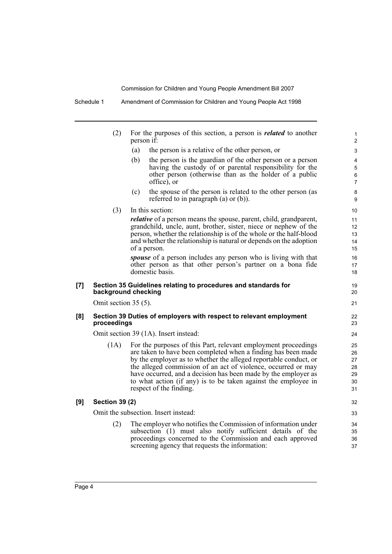|     | (2)                    | For the purposes of this section, a person is <i>related</i> to another<br>person if:                                                                                                                                                                                                                                                                                                                                               | $\mathbf{1}$<br>$\overline{c}$         |
|-----|------------------------|-------------------------------------------------------------------------------------------------------------------------------------------------------------------------------------------------------------------------------------------------------------------------------------------------------------------------------------------------------------------------------------------------------------------------------------|----------------------------------------|
|     |                        | (a)<br>the person is a relative of the other person, or                                                                                                                                                                                                                                                                                                                                                                             | 3                                      |
|     |                        | (b)<br>the person is the guardian of the other person or a person<br>having the custody of or parental responsibility for the<br>other person (otherwise than as the holder of a public<br>office), or                                                                                                                                                                                                                              | $\overline{4}$<br>5<br>6<br>7          |
|     |                        | (c)<br>the spouse of the person is related to the other person (as<br>referred to in paragraph $(a)$ or $(b)$ ).                                                                                                                                                                                                                                                                                                                    | 8<br>9                                 |
|     | (3)                    | In this section:                                                                                                                                                                                                                                                                                                                                                                                                                    | 10                                     |
|     |                        | <i>relative</i> of a person means the spouse, parent, child, grandparent,<br>grandchild, uncle, aunt, brother, sister, niece or nephew of the<br>person, whether the relationship is of the whole or the half-blood<br>and whether the relationship is natural or depends on the adoption<br>of a person.                                                                                                                           | 11<br>12<br>13<br>14<br>15             |
|     |                        | <i>spouse</i> of a person includes any person who is living with that<br>other person as that other person's partner on a bona fide<br>domestic basis.                                                                                                                                                                                                                                                                              | 16<br>17<br>18                         |
| [7] |                        | Section 35 Guidelines relating to procedures and standards for<br>background checking                                                                                                                                                                                                                                                                                                                                               | 19<br>20                               |
|     | Omit section $35(5)$ . |                                                                                                                                                                                                                                                                                                                                                                                                                                     | 21                                     |
| [8] | proceedings            | Section 39 Duties of employers with respect to relevant employment                                                                                                                                                                                                                                                                                                                                                                  | 22<br>23                               |
|     |                        | Omit section 39 (1A). Insert instead:                                                                                                                                                                                                                                                                                                                                                                                               | 24                                     |
|     | (1A)                   | For the purposes of this Part, relevant employment proceedings<br>are taken to have been completed when a finding has been made<br>by the employer as to whether the alleged reportable conduct, or<br>the alleged commission of an act of violence, occurred or may<br>have occurred, and a decision has been made by the employer as<br>to what action (if any) is to be taken against the employee in<br>respect of the finding. | 25<br>26<br>27<br>28<br>29<br>30<br>31 |
| [9] | <b>Section 39 (2)</b>  |                                                                                                                                                                                                                                                                                                                                                                                                                                     | 32                                     |
|     |                        | Omit the subsection. Insert instead:                                                                                                                                                                                                                                                                                                                                                                                                | 33                                     |
|     | (2)                    | The employer who notifies the Commission of information under<br>subsection (1) must also notify sufficient details of the<br>proceedings concerned to the Commission and each approved<br>screening agency that requests the information:                                                                                                                                                                                          | 34<br>35<br>36<br>37                   |
|     |                        |                                                                                                                                                                                                                                                                                                                                                                                                                                     |                                        |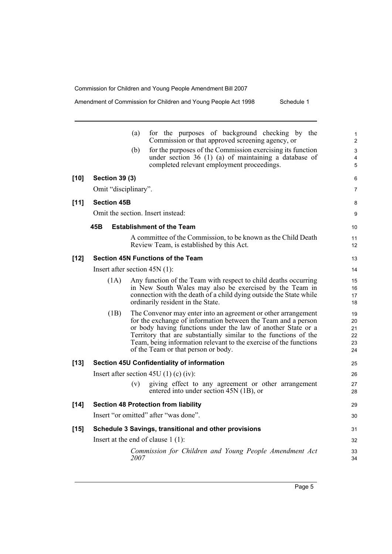| Amendment of Commission for Children and Young People Act 1998 | Schedule 1 |
|----------------------------------------------------------------|------------|
|                                                                |            |

|        |                       | for the purposes of background checking by the<br>(a)<br>Commission or that approved screening agency, or                                                                                                                                                                                                                                                                      | 1<br>$\overline{c}$              |
|--------|-----------------------|--------------------------------------------------------------------------------------------------------------------------------------------------------------------------------------------------------------------------------------------------------------------------------------------------------------------------------------------------------------------------------|----------------------------------|
|        |                       | for the purposes of the Commission exercising its function<br>(b)<br>under section $36(1)(a)$ of maintaining a database of<br>completed relevant employment proceedings.                                                                                                                                                                                                       | 3<br>4<br>5                      |
| $[10]$ | <b>Section 39 (3)</b> |                                                                                                                                                                                                                                                                                                                                                                                | 6                                |
|        | Omit "disciplinary".  |                                                                                                                                                                                                                                                                                                                                                                                | 7                                |
| $[11]$ | <b>Section 45B</b>    |                                                                                                                                                                                                                                                                                                                                                                                | 8                                |
|        |                       | Omit the section. Insert instead:                                                                                                                                                                                                                                                                                                                                              | 9                                |
|        | 45B                   | <b>Establishment of the Team</b>                                                                                                                                                                                                                                                                                                                                               | 10                               |
|        |                       | A committee of the Commission, to be known as the Child Death<br>Review Team, is established by this Act.                                                                                                                                                                                                                                                                      | 11<br>12                         |
| $[12]$ |                       | <b>Section 45N Functions of the Team</b>                                                                                                                                                                                                                                                                                                                                       | 13                               |
|        |                       | Insert after section $45N(1)$ :                                                                                                                                                                                                                                                                                                                                                | 14                               |
|        | (1A)                  | Any function of the Team with respect to child deaths occurring<br>in New South Wales may also be exercised by the Team in<br>connection with the death of a child dying outside the State while<br>ordinarily resident in the State.                                                                                                                                          | 15<br>16<br>17<br>18             |
|        | (1B)                  | The Convenor may enter into an agreement or other arrangement<br>for the exchange of information between the Team and a person<br>or body having functions under the law of another State or a<br>Territory that are substantially similar to the functions of the<br>Team, being information relevant to the exercise of the functions<br>of the Team or that person or body. | 19<br>20<br>21<br>22<br>23<br>24 |
| $[13]$ |                       | Section 45U Confidentiality of information                                                                                                                                                                                                                                                                                                                                     | 25                               |
|        |                       | Insert after section 45U (1) (c) (iv):                                                                                                                                                                                                                                                                                                                                         | 26                               |
|        |                       | giving effect to any agreement or other arrangement<br>(v)<br>entered into under section 45N (1B), or                                                                                                                                                                                                                                                                          | 27<br>28                         |
| $[14]$ |                       | <b>Section 48 Protection from liability</b>                                                                                                                                                                                                                                                                                                                                    | 29                               |
|        |                       | Insert "or omitted" after "was done".                                                                                                                                                                                                                                                                                                                                          | 30                               |
| $[15]$ |                       | Schedule 3 Savings, transitional and other provisions                                                                                                                                                                                                                                                                                                                          | 31                               |
|        |                       | Insert at the end of clause $1(1)$ :                                                                                                                                                                                                                                                                                                                                           | 32                               |
|        |                       | Commission for Children and Young People Amendment Act<br>2007                                                                                                                                                                                                                                                                                                                 | 33<br>34                         |
|        |                       |                                                                                                                                                                                                                                                                                                                                                                                |                                  |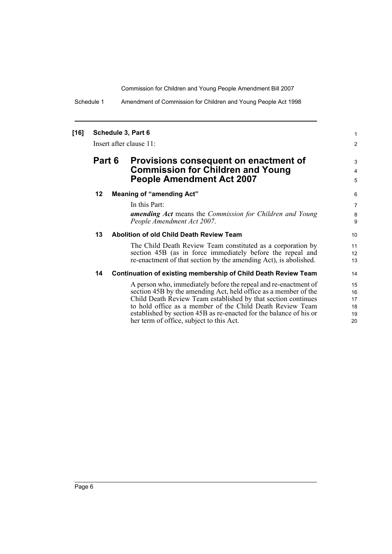Schedule 1 Amendment of Commission for Children and Young People Act 1998

#### **[16] Schedule 3, Part 6**

Insert after clause 11:

### **Part 6 Provisions consequent on enactment of Commission for Children and Young People Amendment Act 2007**

#### **12 Meaning of "amending Act"**

In this Part:

*amending Act* means the *Commission for Children and Young People Amendment Act 2007*.

1 2

3 4 5

#### **13 Abolition of old Child Death Review Team**

The Child Death Review Team constituted as a corporation by section 45B (as in force immediately before the repeal and re-enactment of that section by the amending Act), is abolished.

#### **14 Continuation of existing membership of Child Death Review Team**

A person who, immediately before the repeal and re-enactment of section 45B by the amending Act, held office as a member of the Child Death Review Team established by that section continues to hold office as a member of the Child Death Review Team established by section 45B as re-enacted for the balance of his or her term of office, subject to this Act.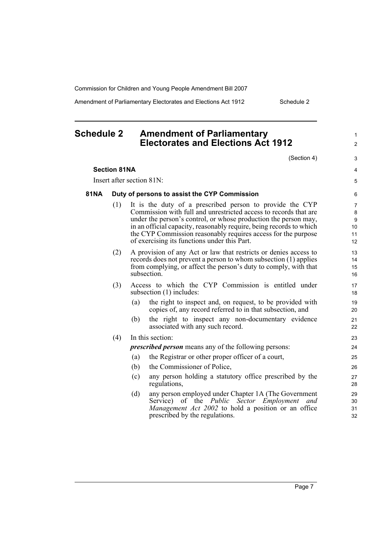Amendment of Parliamentary Electorates and Elections Act 1912 Schedule 2

### <span id="page-12-0"></span>**Schedule 2 Amendment of Parliamentary Electorates and Elections Act 1912**

(Section 4)

1  $\mathfrak{p}$ 

3 4 5

#### **Section 81NA**

Insert after section 81N:

#### **81NA Duty of persons to assist the CYP Commission**

- (1) It is the duty of a prescribed person to provide the CYP Commission with full and unrestricted access to records that are under the person's control, or whose production the person may, in an official capacity, reasonably require, being records to which the CYP Commission reasonably requires access for the purpose of exercising its functions under this Part.
- (2) A provision of any Act or law that restricts or denies access to records does not prevent a person to whom subsection (1) applies from complying, or affect the person's duty to comply, with that subsection.
- (3) Access to which the CYP Commission is entitled under subsection (1) includes:
	- (a) the right to inspect and, on request, to be provided with copies of, any record referred to in that subsection, and
	- (b) the right to inspect any non-documentary evidence associated with any such record.

#### (4) In this section:

*prescribed person* means any of the following persons:

- (a) the Registrar or other proper officer of a court,
- (b) the Commissioner of Police,
- (c) any person holding a statutory office prescribed by the regulations,
- (d) any person employed under Chapter 1A (The Government Service) of the *Public Sector Employment and Management Act 2002* to hold a position or an office prescribed by the regulations.